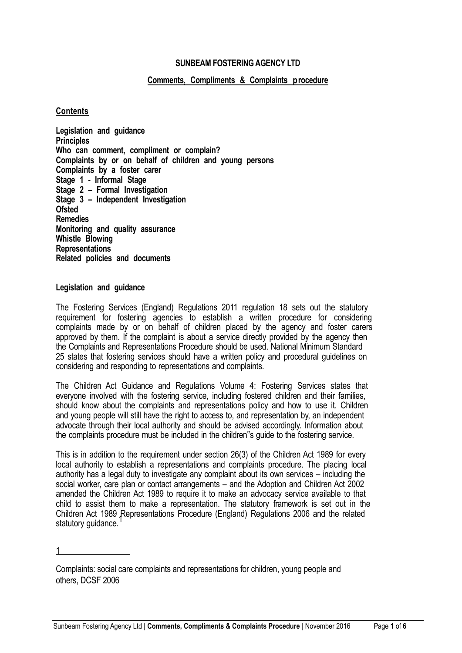# **SUNBEAM FOSTERING AGENCY LTD**

## **Comments, Compliments & Complaints procedure**

### **Contents**

**Legislation and guidance Principles Who can comment, compliment or complain? Complaints by or on behalf of children and young persons Complaints by a foster carer Stage 1 - Informal Stage Stage 2 – Formal Investigation Stage 3 – Independent Investigation Ofsted Remedies Monitoring and quality assurance Whistle Blowing Representations Related policies and documents**

#### **Legislation and guidance**

The Fostering Services (England) Regulations 2011 regulation 18 sets out the statutory requirement for fostering agencies to establish a written procedure for considering complaints made by or on behalf of children placed by the agency and foster carers approved by them. If the complaint is about a service directly provided by the agency then the Complaints and Representations Procedure should be used. National Minimum Standard 25 states that fostering services should have a written policy and procedural guidelines on considering and responding to representations and complaints.

The Children Act Guidance and Regulations Volume 4: Fostering Services states that everyone involved with the fostering service, including fostered children and their families, should know about the complaints and representations policy and how to use it. Children and young people will still have the right to access to, and representation by, an independent advocate through their local authority and should be advised accordingly. Information about the complaints procedure must be included in the children"s guide to the fostering service.

This is in addition to the requirement under section 26(3) of the Children Act 1989 for every local authority to establish a representations and complaints procedure. The placing local authority has a legal duty to investigate any complaint about its own services – including the social worker, care plan or contact arrangements – and the Adoption and Children Act 2002 amended the Children Act 1989 to require it to make an advocacy service available to that child to assist them to make a representation. The statutory framework is set out in the Children Act 1989 Representations Procedure (England) Regulations 2006 and the related statutory guidance.

1

Complaints: social care complaints and representations for children, young people and others, DCSF 2006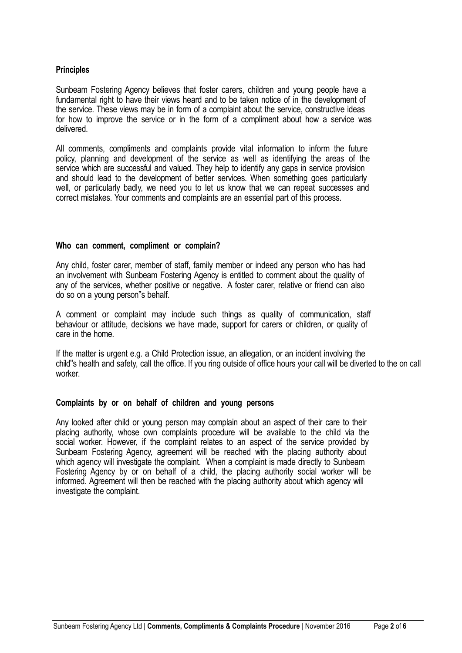# **Principles**

Sunbeam Fostering Agency believes that foster carers, children and young people have a fundamental right to have their views heard and to be taken notice of in the development of the service. These views may be in form of a complaint about the service, constructive ideas for how to improve the service or in the form of a compliment about how a service was delivered.

All comments, compliments and complaints provide vital information to inform the future policy, planning and development of the service as well as identifying the areas of the service which are successful and valued. They help to identify any gaps in service provision and should lead to the development of better services. When something goes particularly well, or particularly badly, we need you to let us know that we can repeat successes and correct mistakes. Your comments and complaints are an essential part of this process.

### **Who can comment, compliment or complain?**

Any child, foster carer, member of staff, family member or indeed any person who has had an involvement with Sunbeam Fostering Agency is entitled to comment about the quality of any of the services, whether positive or negative. A foster carer, relative or friend can also do so on a young person"s behalf.

A comment or complaint may include such things as quality of communication, staff behaviour or attitude, decisions we have made, support for carers or children, or quality of care in the home.

If the matter is urgent e.g. a Child Protection issue, an allegation, or an incident involving the child"s health and safety, call the office. If you ring outside of office hours your call will be diverted to the on call worker.

## **Complaints by or on behalf of children and young persons**

Any looked after child or young person may complain about an aspect of their care to their placing authority, whose own complaints procedure will be available to the child via the social worker. However, if the complaint relates to an aspect of the service provided by Sunbeam Fostering Agency, agreement will be reached with the placing authority about which agency will investigate the complaint. When a complaint is made directly to Sunbeam Fostering Agency by or on behalf of a child, the placing authority social worker will be informed. Agreement will then be reached with the placing authority about which agency will investigate the complaint.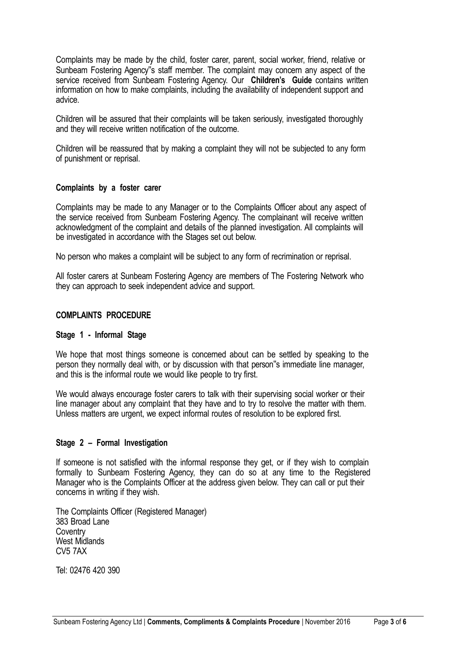Complaints may be made by the child, foster carer, parent, social worker, friend, relative or Sunbeam Fostering Agency"s staff member. The complaint may concern any aspect of the service received from Sunbeam Fostering Agency. Our **Children's Guide** contains written information on how to make complaints, including the availability of independent support and advice.

Children will be assured that their complaints will be taken seriously, investigated thoroughly and they will receive written notification of the outcome.

Children will be reassured that by making a complaint they will not be subjected to any form of punishment or reprisal.

### **Complaints by a foster carer**

Complaints may be made to any Manager or to the Complaints Officer about any aspect of the service received from Sunbeam Fostering Agency. The complainant will receive written acknowledgment of the complaint and details of the planned investigation. All complaints will be investigated in accordance with the Stages set out below.

No person who makes a complaint will be subject to any form of recrimination or reprisal.

All foster carers at Sunbeam Fostering Agency are members of The Fostering Network who they can approach to seek independent advice and support.

## **COMPLAINTS PROCEDURE**

#### **Stage 1 - Informal Stage**

We hope that most things someone is concerned about can be settled by speaking to the person they normally deal with, or by discussion with that person"s immediate line manager, and this is the informal route we would like people to try first.

We would always encourage foster carers to talk with their supervising social worker or their line manager about any complaint that they have and to try to resolve the matter with them. Unless matters are urgent, we expect informal routes of resolution to be explored first.

## **Stage 2 – Formal Investigation**

If someone is not satisfied with the informal response they get, or if they wish to complain formally to Sunbeam Fostering Agency, they can do so at any time to the Registered Manager who is the Complaints Officer at the address given below. They can call or put their concerns in writing if they wish.

The Complaints Officer (Registered Manager) 383 Broad Lane **Coventry** West Midlands CV5 7AX

Tel: 02476 420 390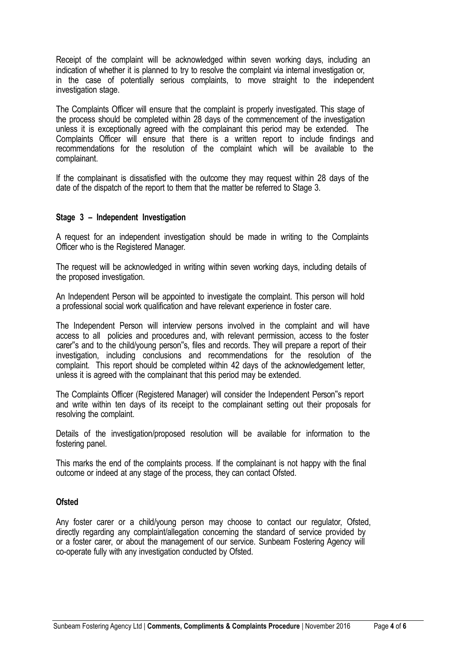Receipt of the complaint will be acknowledged within seven working days, including an indication of whether it is planned to try to resolve the complaint via internal investigation or, in the case of potentially serious complaints, to move straight to the independent investigation stage.

The Complaints Officer will ensure that the complaint is properly investigated. This stage of the process should be completed within 28 days of the commencement of the investigation unless it is exceptionally agreed with the complainant this period may be extended. The Complaints Officer will ensure that there is a written report to include findings and recommendations for the resolution of the complaint which will be available to the complainant.

If the complainant is dissatisfied with the outcome they may request within 28 days of the date of the dispatch of the report to them that the matter be referred to Stage 3.

## **Stage 3 – Independent Investigation**

A request for an independent investigation should be made in writing to the Complaints Officer who is the Registered Manager.

The request will be acknowledged in writing within seven working days, including details of the proposed investigation.

An Independent Person will be appointed to investigate the complaint. This person will hold a professional social work qualification and have relevant experience in foster care.

The Independent Person will interview persons involved in the complaint and will have access to all policies and procedures and, with relevant permission, access to the foster carer"s and to the child/young person"s, files and records. They will prepare a report of their investigation, including conclusions and recommendations for the resolution of the complaint. This report should be completed within 42 days of the acknowledgement letter, unless it is agreed with the complainant that this period may be extended.

The Complaints Officer (Registered Manager) will consider the Independent Person"s report and write within ten days of its receipt to the complainant setting out their proposals for resolving the complaint.

Details of the investigation/proposed resolution will be available for information to the fostering panel.

This marks the end of the complaints process. If the complainant is not happy with the final outcome or indeed at any stage of the process, they can contact Ofsted.

## **Ofsted**

Any foster carer or a child/young person may choose to contact our regulator, Ofsted, directly regarding any complaint/allegation concerning the standard of service provided by or a foster carer, or about the management of our service. Sunbeam Fostering Agency will co-operate fully with any investigation conducted by Ofsted.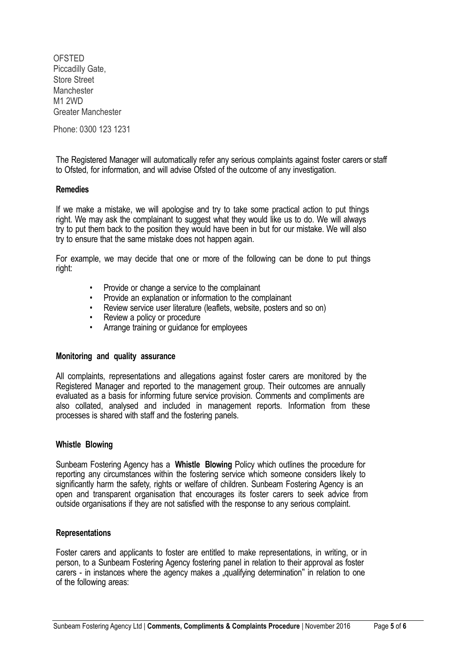**OFSTED** Piccadilly Gate, Store Street **Manchester M1 2WD** Greater Manchester

Phone: 0300 123 1231

The Registered Manager will automatically refer any serious complaints against foster carers or staff to Ofsted, for information, and will advise Ofsted of the outcome of any investigation.

### **Remedies**

If we make a mistake, we will apologise and try to take some practical action to put things right. We may ask the complainant to suggest what they would like us to do. We will always try to put them back to the position they would have been in but for our mistake. We will also try to ensure that the same mistake does not happen again.

For example, we may decide that one or more of the following can be done to put things right:

- Provide or change a service to the complainant
- Provide an explanation or information to the complainant
- Review service user literature (leaflets, website, posters and so on)
- Review a policy or procedure
- Arrange training or quidance for employees

#### **Monitoring and quality assurance**

All complaints, representations and allegations against foster carers are monitored by the Registered Manager and reported to the management group. Their outcomes are annually evaluated as a basis for informing future service provision. Comments and compliments are also collated, analysed and included in management reports. Information from these processes is shared with staff and the fostering panels.

## **Whistle Blowing**

Sunbeam Fostering Agency has a **Whistle Blowing** Policy which outlines the procedure for reporting any circumstances within the fostering service which someone considers likely to significantly harm the safety, rights or welfare of children. Sunbeam Fostering Agency is an open and transparent organisation that encourages its foster carers to seek advice from outside organisations if they are not satisfied with the response to any serious complaint.

#### **Representations**

Foster carers and applicants to foster are entitled to make representations, in writing, or in person, to a Sunbeam Fostering Agency fostering panel in relation to their approval as foster carers - in instances where the agency makes a "qualifying determination" in relation to one of the following areas: